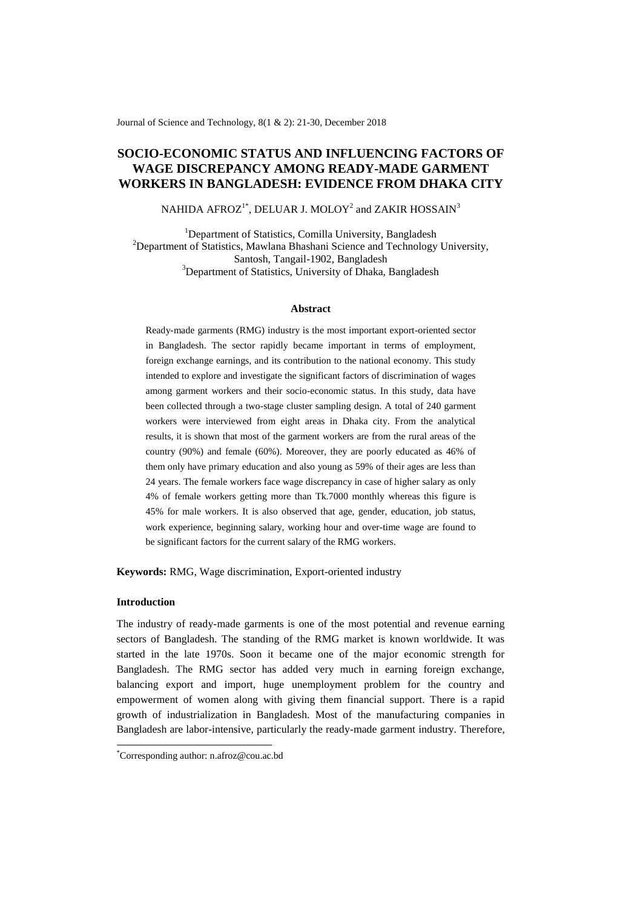Journal of Science and Technology, 8(1 & 2): 21-30, December 2018

# **SOCIO-ECONOMIC STATUS AND INFLUENCING FACTORS OF WAGE DISCREPANCY AMONG READY-MADE GARMENT WORKERS IN BANGLADESH: EVIDENCE FROM DHAKA CITY**

# NAHIDA AFROZ $^{1*}$ , DELUAR J. MOLOY $^{2}$  and ZAKIR HOSSAIN $^{3}$

<sup>1</sup>Department of Statistics, Comilla University, Bangladesh <sup>2</sup>Department of Statistics, Mawlana Bhashani Science and Technology University, Santosh, Tangail-1902, Bangladesh <sup>3</sup>Department of Statistics, University of Dhaka, Bangladesh

#### **Abstract**

Ready-made garments (RMG) industry is the most important export-oriented sector in Bangladesh. The sector rapidly became important in terms of employment, foreign exchange earnings, and its contribution to the national economy. This study intended to explore and investigate the significant factors of discrimination of wages among garment workers and their socio-economic status. In this study, data have been collected through a two-stage cluster sampling design. A total of 240 garment workers were interviewed from eight areas in Dhaka city. From the analytical results, it is shown that most of the garment workers are from the rural areas of the country (90%) and female (60%). Moreover, they are poorly educated as 46% of them only have primary education and also young as 59% of their ages are less than 24 years. The female workers face wage discrepancy in case of higher salary as only 4% of female workers getting more than Tk.7000 monthly whereas this figure is 45% for male workers. It is also observed that age, gender, education, job status, work experience, beginning salary, working hour and over-time wage are found to be significant factors for the current salary of the RMG workers.

**Keywords:** RMG, Wage discrimination, Export-oriented industry

# **Introduction**

-

The industry of ready-made garments is one of the most potential and revenue earning sectors of Bangladesh. The standing of the RMG market is known worldwide. It was started in the late 1970s. Soon it became one of the major economic strength for Bangladesh. The RMG sector has added very much in earning foreign exchange, balancing export and import, huge unemployment problem for the country and empowerment of women along with giving them financial support. There is a rapid growth of industrialization in Bangladesh. Most of the manufacturing companies in Bangladesh are labor-intensive, particularly the ready-made garment industry. Therefore,

<sup>\*</sup>Corresponding author[: n.afroz@cou.ac.bd](mailto:n.afroz@cou.ac.bd)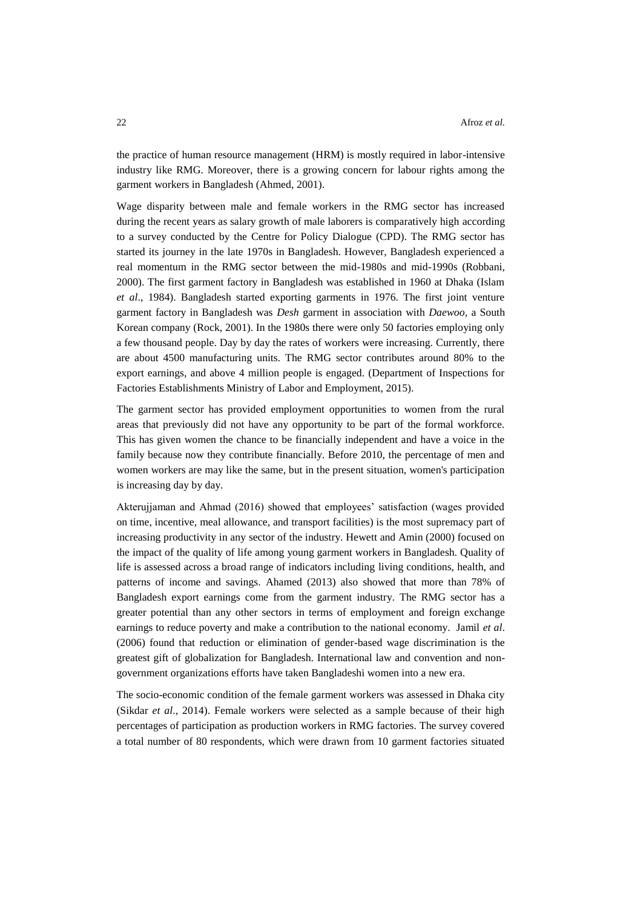the practice of human resource management (HRM) is mostly required in labor-intensive industry like RMG. Moreover, there is a growing concern for labour rights among the garment workers in Bangladesh (Ahmed, 2001).

Wage disparity between male and female workers in the RMG sector has increased during the recent years as salary growth of male laborers is comparatively high according to a survey conducted by the Centre for Policy Dialogue (CPD). The RMG sector has started its journey in the late 1970s in Bangladesh. However, Bangladesh experienced a real momentum in the RMG sector between the mid-1980s and mid-1990s (Robbani, 2000). The first garment factory in Bangladesh was established in 1960 at Dhaka (Islam *et al*., 1984). Bangladesh started exporting garments in 1976. The first joint venture garment factory in Bangladesh was *Desh* garment in association with *Daewoo*, a South Korean company (Rock, 2001). In the 1980s there were only 50 factories employing only a few thousand people. Day by day the rates of workers were increasing. Currently, there are about 4500 manufacturing units. The RMG sector contributes around 80% to the export earnings, and above 4 million people is engaged. (Department of Inspections for Factories Establishments Ministry of Labor and Employment, 2015).

The garment sector has provided employment opportunities to women from the rural areas that previously did not have any opportunity to be part of the formal workforce. This has given women the chance to be financially independent and have a voice in the family because now they contribute financially. Before 2010, the percentage of men and women workers are may like the same, but in the present situation, women's participation is increasing day by day.

Akterujjaman and Ahmad (2016) showed that employees' satisfaction (wages provided on time, incentive, meal allowance, and transport facilities) is the most supremacy part of increasing productivity in any sector of the industry. Hewett and Amin (2000) focused on the impact of the quality of life among young garment workers in Bangladesh. Quality of life is assessed across a broad range of indicators including living conditions, health, and patterns of income and savings. Ahamed (2013) also showed that more than 78% of Bangladesh export earnings come from the garment industry. The RMG sector has a greater potential than any other sectors in terms of employment and foreign exchange earnings to reduce poverty and make a contribution to the national economy. Jamil *[et al](https://papers.ssrn.com/sol3/cf_dev/AbsByAuth.cfm?per_id=2114727)*. (2006) found that [reduction or elimination of gender-based wage discrimination is the](https://papers.ssrn.com/sol3/cf_dev/AbsByAuth.cfm?per_id=2114727)  [greatest gift of globalization for Bangladesh. International law and convention and non](https://papers.ssrn.com/sol3/cf_dev/AbsByAuth.cfm?per_id=2114727)[government organizations efforts have taken Bangladeshi women into a new era.](https://papers.ssrn.com/sol3/cf_dev/AbsByAuth.cfm?per_id=2114727) 

[The socio-economic condition of the female garment workers was assessed in Dhaka city](https://papers.ssrn.com/sol3/cf_dev/AbsByAuth.cfm?per_id=2114727)  (Sikdar *et al*[., 2014\). Female workers were selected as a sample because of their high](https://papers.ssrn.com/sol3/cf_dev/AbsByAuth.cfm?per_id=2114727)  [percentages of participation as production workers in RMG factories. The survey covered](https://papers.ssrn.com/sol3/cf_dev/AbsByAuth.cfm?per_id=2114727)  [a total number of 80 respondents, which were drawn from 10 garment factories situated](https://papers.ssrn.com/sol3/cf_dev/AbsByAuth.cfm?per_id=2114727)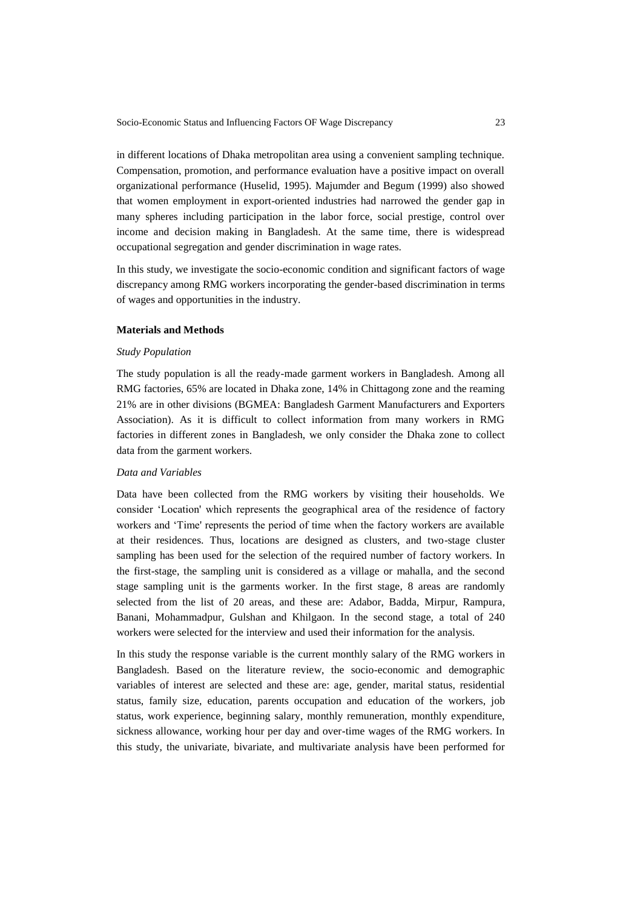[in different locations of Dhaka metropolitan area using a convenient sampling technique.](https://papers.ssrn.com/sol3/cf_dev/AbsByAuth.cfm?per_id=2114727) Compensation, promotion, and performance evaluation have a positive impact on overall organizational performance (Huselid, 1995). Majumder and Begum (1999) also showed that women employment in export-oriented industries had narrowed the gender gap in many spheres including participation in the labor force, social prestige, control over income and decision making in Bangladesh. At the same time, there is widespread occupational segregation and gender discrimination in wage rates.

In this study, we investigate the socio-economic condition and significant factors of wage discrepancy among RMG workers incorporating the gender-based discrimination in terms of wages and opportunities in the industry.

## **Materials and Methods**

## *Study Population*

The study population is all the ready-made garment workers in Bangladesh. Among all RMG factories, 65% are located in Dhaka zone, 14% in Chittagong zone and the reaming 21% are in other divisions (BGMEA: Bangladesh Garment Manufacturers and Exporters Association). As it is difficult to collect information from many workers in RMG factories in different zones in Bangladesh, we only consider the Dhaka zone to collect data from the garment workers.

## *Data and Variables*

Data have been collected from the RMG workers by visiting their households. We consider 'Location' which represents the geographical area of the residence of factory workers and 'Time' represents the period of time when the factory workers are available at their residences. Thus, locations are designed as clusters, and two-stage cluster sampling has been used for the selection of the required number of factory workers. In the first-stage, the sampling unit is considered as a village or mahalla, and the second stage sampling unit is the garments worker. In the first stage, 8 areas are randomly selected from the list of 20 areas, and these are: Adabor, Badda, Mirpur, Rampura, Banani, Mohammadpur, Gulshan and Khilgaon. In the second stage, a total of 240 workers were selected for the interview and used their information for the analysis.

In this study the response variable is the current monthly salary of the RMG workers in Bangladesh. Based on the literature review, the socio-economic and demographic variables of interest are selected and these are: age, gender, marital status, residential status, family size, education, parents occupation and education of the workers, job status, work experience, beginning salary, monthly remuneration, monthly expenditure, sickness allowance, working hour per day and over-time wages of the RMG workers. In this study, the univariate, bivariate, and multivariate analysis have been performed for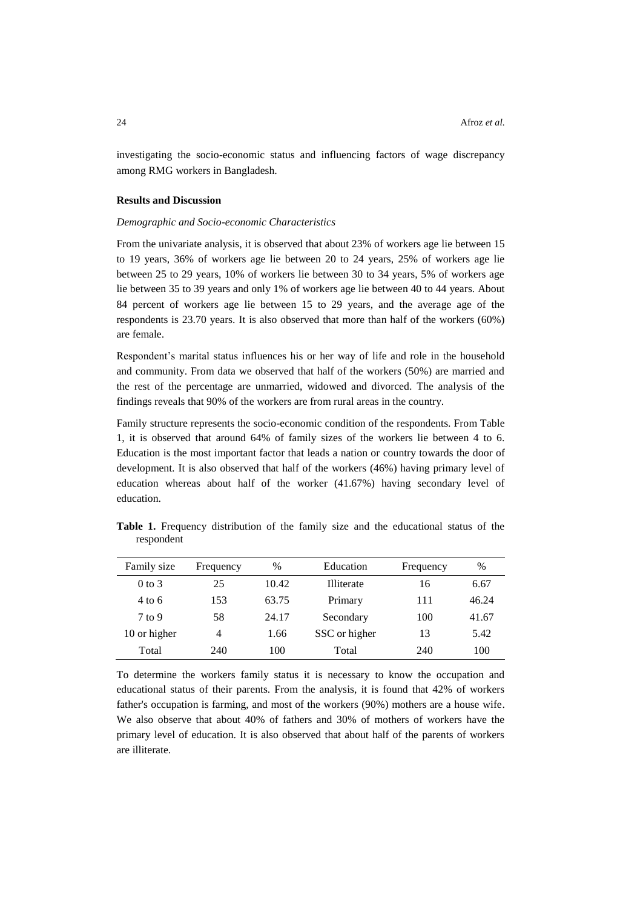investigating the socio-economic status and influencing factors of wage discrepancy among RMG workers in Bangladesh.

# **Results and Discussion**

# *Demographic and Socio-economic Characteristics*

From the univariate analysis, it is observed that about 23% of workers age lie between 15 to 19 years, 36% of workers age lie between 20 to 24 years, 25% of workers age lie between 25 to 29 years, 10% of workers lie between 30 to 34 years, 5% of workers age lie between 35 to 39 years and only 1% of workers age lie between 40 to 44 years. About 84 percent of workers age lie between 15 to 29 years, and the average age of the respondents is 23.70 years. It is also observed that more than half of the workers (60%) are female.

Respondent's marital status influences his or her way of life and role in the household and community. From data we observed that half of the workers (50%) are married and the rest of the percentage are unmarried, widowed and divorced. The analysis of the findings reveals that 90% of the workers are from rural areas in the country.

Family structure represents the socio-economic condition of the respondents. From Table 1, it is observed that around 64% of family sizes of the workers lie between 4 to 6. Education is the most important factor that leads a nation or country towards the door of development. It is also observed that half of the workers (46%) having primary level of education whereas about half of the worker (41.67%) having secondary level of education.

**Table 1.** Frequency distribution of the family size and the educational status of the respondent

| Family size       | Frequency | $\frac{0}{0}$ | Education     | Frequency | $\%$  |
|-------------------|-----------|---------------|---------------|-----------|-------|
| $0$ to $3$        | 25        | 10.42         | Illiterate    | 16        | 6.67  |
| $4 \text{ to } 6$ | 153       | 63.75         | Primary       | 111       | 46.24 |
| $7$ to 9          | 58        | 24.17         | Secondary     | 100       | 41.67 |
| 10 or higher      | 4         | 1.66          | SSC or higher | 13        | 5.42  |
| Total             | 240       | 100           | Total         | 240       | 100   |

To determine the workers family status it is necessary to know the occupation and educational status of their parents. From the analysis, it is found that 42% of workers father's occupation is farming, and most of the workers (90%) mothers are a house wife. We also observe that about 40% of fathers and 30% of mothers of workers have the primary level of education. It is also observed that about half of the parents of workers are illiterate.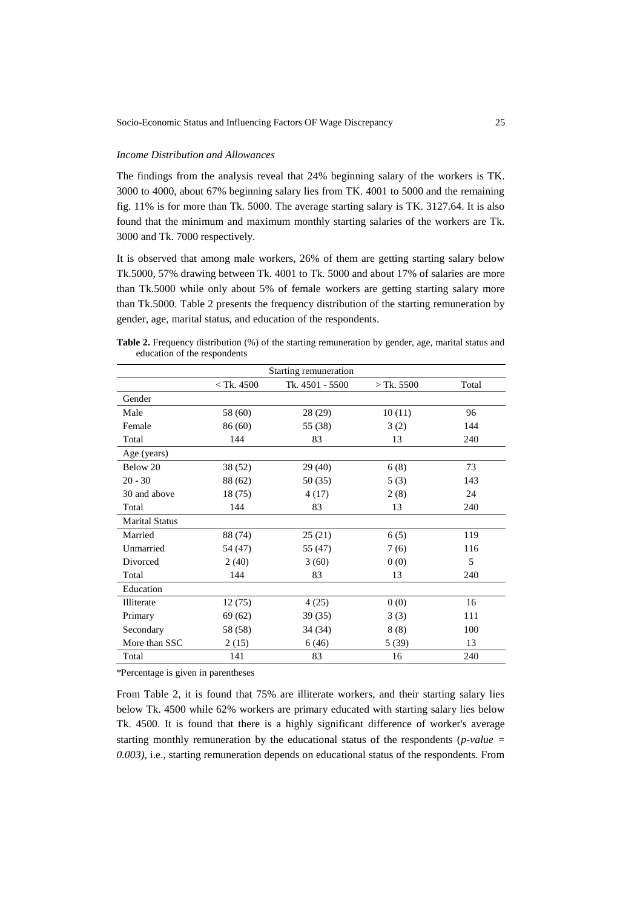## *Income Distribution and Allowances*

The findings from the analysis reveal that 24% beginning salary of the workers is TK. 3000 to 4000, about 67% beginning salary lies from TK. 4001 to 5000 and the remaining fig. 11% is for more than Tk. 5000. The average starting salary is TK. 3127.64. It is also found that the minimum and maximum monthly starting salaries of the workers are Tk. 3000 and Tk. 7000 respectively.

It is observed that among male workers, 26% of them are getting starting salary below Tk.5000, 57% drawing between Tk. 4001 to Tk. 5000 and about 17% of salaries are more than Tk.5000 while only about 5% of female workers are getting starting salary more than Tk.5000. Table 2 presents the frequency distribution of the starting remuneration by gender, age, marital status, and education of the respondents.

**Table 2.** Frequency distribution (%) of the starting remuneration by gender, age, marital status and education of the respondents

| Starting remuneration |              |                 |              |       |  |  |
|-----------------------|--------------|-----------------|--------------|-------|--|--|
|                       | $<$ Tk. 4500 | Tk. 4501 - 5500 | $>$ Tk. 5500 | Total |  |  |
| Gender                |              |                 |              |       |  |  |
| Male                  | 58 (60)      | 28 (29)         | 10(11)       | 96    |  |  |
| Female                | 86 (60)      | 55 (38)         | 3(2)         | 144   |  |  |
| Total                 | 144          | 83              | 13           | 240   |  |  |
| Age (years)           |              |                 |              |       |  |  |
| Below 20              | 38 (52)      | 29(40)          | 6(8)         | 73    |  |  |
| $20 - 30$             | 88 (62)      | 50 (35)         | 5(3)         | 143   |  |  |
| 30 and above          | 18(75)       | 4 (17)          | 2(8)         | 24    |  |  |
| Total                 | 144          | 83              | 13           | 240   |  |  |
| <b>Marital Status</b> |              |                 |              |       |  |  |
| Married               | 88 (74)      | 25(21)          | 6(5)         | 119   |  |  |
| Unmarried             | 54 (47)      | 55 (47)         | 7(6)         | 116   |  |  |
| Divorced              | 2(40)        | 3(60)           | 0(0)         | 5     |  |  |
| Total                 | 144          | 83              | 13           | 240   |  |  |
| Education             |              |                 |              |       |  |  |
| Illiterate            | 12(75)       | 4(25)           | 0(0)         | 16    |  |  |
| Primary               | 69 (62)      | 39(35)          | 3(3)         | 111   |  |  |
| Secondary             | 58 (58)      | 34 (34)         | 8(8)         | 100   |  |  |
| More than SSC         | 2(15)        | 6(46)           | 5(39)        | 13    |  |  |
| Total                 | 141          | 83              | 16           | 240   |  |  |

\*Percentage is given in parentheses

From Table 2, it is found that 75% are illiterate workers, and their starting salary lies below Tk. 4500 while 62% workers are primary educated with starting salary lies below Tk. 4500. It is found that there is a highly significant difference of worker's average starting monthly remuneration by the educational status of the respondents (*p-value = 0.003)*, i.e., starting remuneration depends on educational status of the respondents. From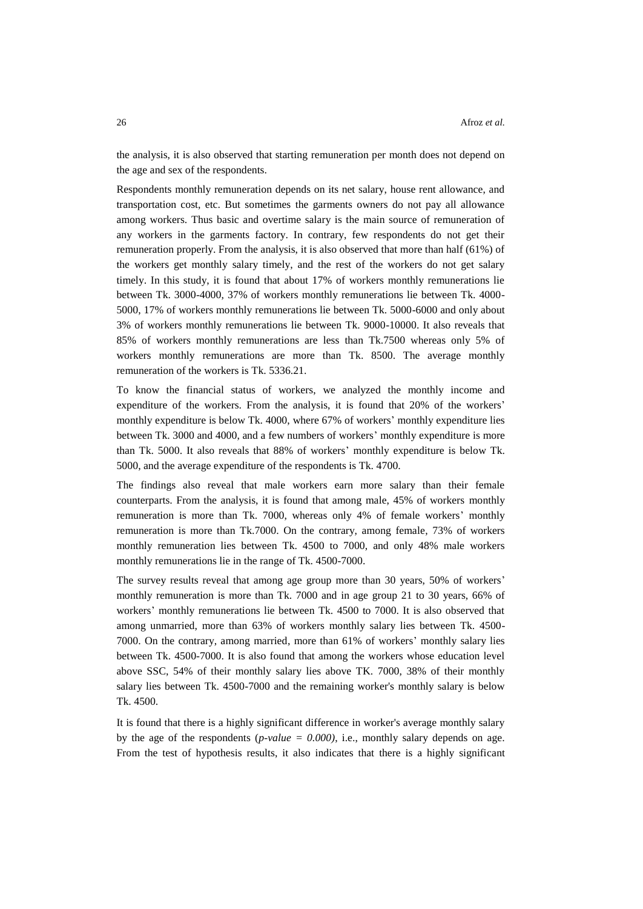the analysis, it is also observed that starting remuneration per month does not depend on the age and sex of the respondents.

Respondents monthly remuneration depends on its net salary, house rent allowance, and transportation cost, etc. But sometimes the garments owners do not pay all allowance among workers. Thus basic and overtime salary is the main source of remuneration of any workers in the garments factory. In contrary, few respondents do not get their remuneration properly. From the analysis, it is also observed that more than half (61%) of the workers get monthly salary timely, and the rest of the workers do not get salary timely. In this study, it is found that about 17% of workers monthly remunerations lie between Tk. 3000-4000, 37% of workers monthly remunerations lie between Tk. 4000- 5000, 17% of workers monthly remunerations lie between Tk. 5000-6000 and only about 3% of workers monthly remunerations lie between Tk. 9000-10000. It also reveals that 85% of workers monthly remunerations are less than Tk.7500 whereas only 5% of workers monthly remunerations are more than Tk. 8500. The average monthly remuneration of the workers is Tk. 5336.21.

To know the financial status of workers, we analyzed the monthly income and expenditure of the workers. From the analysis, it is found that 20% of the workers' monthly expenditure is below Tk. 4000, where 67% of workers' monthly expenditure lies between Tk. 3000 and 4000, and a few numbers of workers' monthly expenditure is more than Tk. 5000. It also reveals that 88% of workers' monthly expenditure is below Tk. 5000, and the average expenditure of the respondents is Tk. 4700.

The findings also reveal that male workers earn more salary than their female counterparts. From the analysis, it is found that among male, 45% of workers monthly remuneration is more than Tk. 7000, whereas only 4% of female workers' monthly remuneration is more than Tk.7000. On the contrary, among female, 73% of workers monthly remuneration lies between Tk. 4500 to 7000, and only 48% male workers monthly remunerations lie in the range of Tk. 4500-7000.

The survey results reveal that among age group more than 30 years, 50% of workers' monthly remuneration is more than Tk. 7000 and in age group 21 to 30 years, 66% of workers' monthly remunerations lie between Tk. 4500 to 7000. It is also observed that among unmarried, more than 63% of workers monthly salary lies between Tk. 4500- 7000. On the contrary, among married, more than 61% of workers' monthly salary lies between Tk. 4500-7000. It is also found that among the workers whose education level above SSC, 54% of their monthly salary lies above TK. 7000, 38% of their monthly salary lies between Tk. 4500-7000 and the remaining worker's monthly salary is below Tk. 4500.

It is found that there is a highly significant difference in worker's average monthly salary by the age of the respondents  $(p-value = 0.000)$ , i.e., monthly salary depends on age. From the test of hypothesis results, it also indicates that there is a highly significant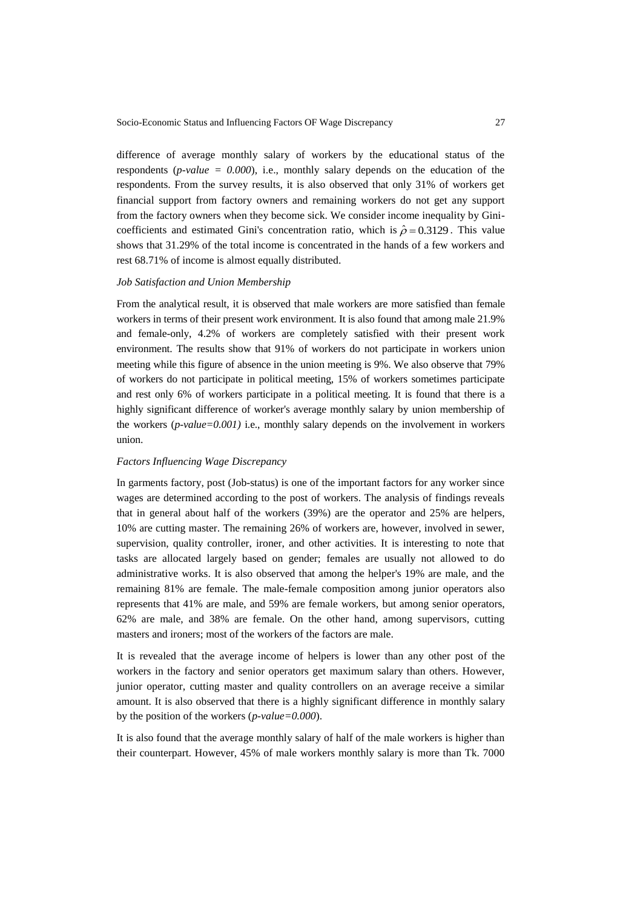difference of average monthly salary of workers by the educational status of the respondents ( $p$ -value =  $0.000$ ), i.e., monthly salary depends on the education of the respondents. From the survey results, it is also observed that only 31% of workers get financial support from factory owners and remaining workers do not get any support from the factory owners when they become sick. We consider income inequality by Ginicoefficients and estimated Gini's concentration ratio, which is  $\hat{\rho} = 0.3129$ . This value shows that 31.29% of the total income is concentrated in the hands of a few workers and rest 68.71% of income is almost equally distributed.

## *Job Satisfaction and Union Membership*

From the analytical result, it is observed that male workers are more satisfied than female workers in terms of their present work environment. It is also found that among male 21.9% and female-only, 4.2% of workers are completely satisfied with their present work environment. The results show that 91% of workers do not participate in workers union meeting while this figure of absence in the union meeting is 9%. We also observe that 79% of workers do not participate in political meeting, 15% of workers sometimes participate and rest only 6% of workers participate in a political meeting. It is found that there is a highly significant difference of worker's average monthly salary by union membership of the workers (*p-value=0.001)* i.e., monthly salary depends on the involvement in workers union.

#### *Factors Influencing Wage Discrepancy*

In garments factory, post (Job-status) is one of the important factors for any worker since wages are determined according to the post of workers. The analysis of findings reveals that in general about half of the workers (39%) are the operator and 25% are helpers, 10% are cutting master. The remaining 26% of workers are, however, involved in sewer, supervision, quality controller, ironer, and other activities. It is interesting to note that tasks are allocated largely based on gender; females are usually not allowed to do administrative works. It is also observed that among the helper's 19% are male, and the remaining 81% are female. The male-female composition among junior operators also represents that 41% are male, and 59% are female workers, but among senior operators, 62% are male, and 38% are female. On the other hand, among supervisors, cutting masters and ironers; most of the workers of the factors are male.

It is revealed that the average income of helpers is lower than any other post of the workers in the factory and senior operators get maximum salary than others. However, junior operator, cutting master and quality controllers on an average receive a similar amount. It is also observed that there is a highly significant difference in monthly salary by the position of the workers (*p-value=0.000*).

It is also found that the average monthly salary of half of the male workers is higher than their counterpart. However, 45% of male workers monthly salary is more than Tk. 7000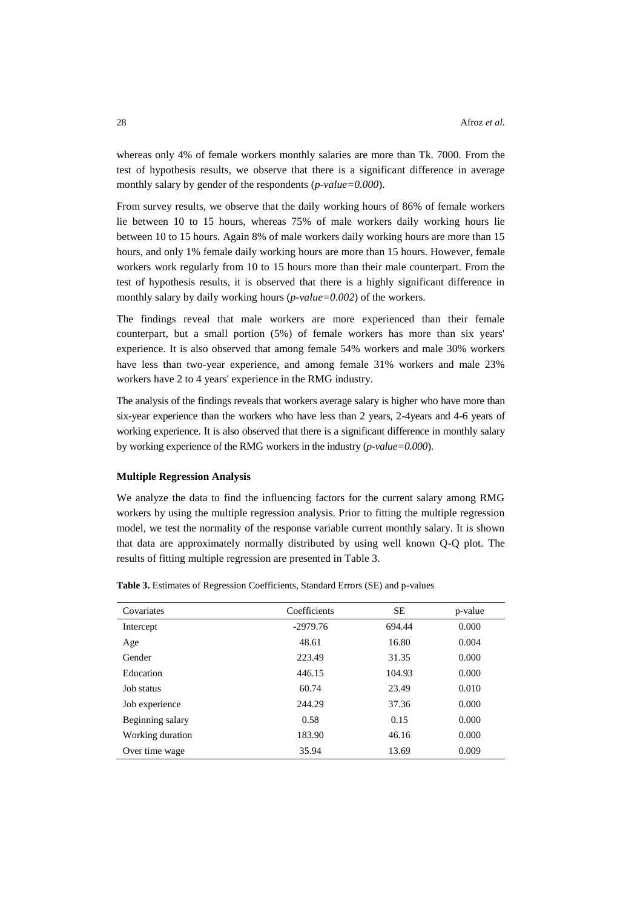whereas only 4% of female workers monthly salaries are more than Tk. 7000. From the test of hypothesis results, we observe that there is a significant difference in average monthly salary by gender of the respondents (*p-value=0.000*).

From survey results, we observe that the daily working hours of 86% of female workers lie between 10 to 15 hours, whereas 75% of male workers daily working hours lie between 10 to 15 hours. Again 8% of male workers daily working hours are more than 15 hours, and only 1% female daily working hours are more than 15 hours. However, female workers work regularly from 10 to 15 hours more than their male counterpart. From the test of hypothesis results, it is observed that there is a highly significant difference in monthly salary by daily working hours (*p-value=0.002*) of the workers.

The findings reveal that male workers are more experienced than their female counterpart, but a small portion (5%) of female workers has more than six years' experience. It is also observed that among female 54% workers and male 30% workers have less than two-year experience, and among female 31% workers and male 23% workers have 2 to 4 years' experience in the RMG industry.

The analysis of the findings reveals that workers average salary is higher who have more than six-year experience than the workers who have less than 2 years, 2-4years and 4-6 years of working experience. It is also observed that there is a significant difference in monthly salary by working experience of the RMG workers in the industry (*p-value=0.000*).

### **Multiple Regression Analysis**

We analyze the data to find the influencing factors for the current salary among RMG workers by using the multiple regression analysis. Prior to fitting the multiple regression model, we test the normality of the response variable current monthly salary. It is shown that data are approximately normally distributed by using well known Q-Q plot. The results of fitting multiple regression are presented in Table 3.

| Covariates       | Coefficients | <b>SE</b> | p-value |
|------------------|--------------|-----------|---------|
| Intercept        | $-2979.76$   | 694.44    | 0.000   |
| Age              | 48.61        | 16.80     | 0.004   |
| Gender           | 223.49       | 31.35     | 0.000   |
| Education        | 446.15       | 104.93    | 0.000   |
| Job status       | 60.74        | 23.49     | 0.010   |
| Job experience   | 244.29       | 37.36     | 0.000   |
| Beginning salary | 0.58         | 0.15      | 0.000   |
| Working duration | 183.90       | 46.16     | 0.000   |
| Over time wage   | 35.94        | 13.69     | 0.009   |

**Table 3.** Estimates of Regression Coefficients, Standard Errors (SE) and p-values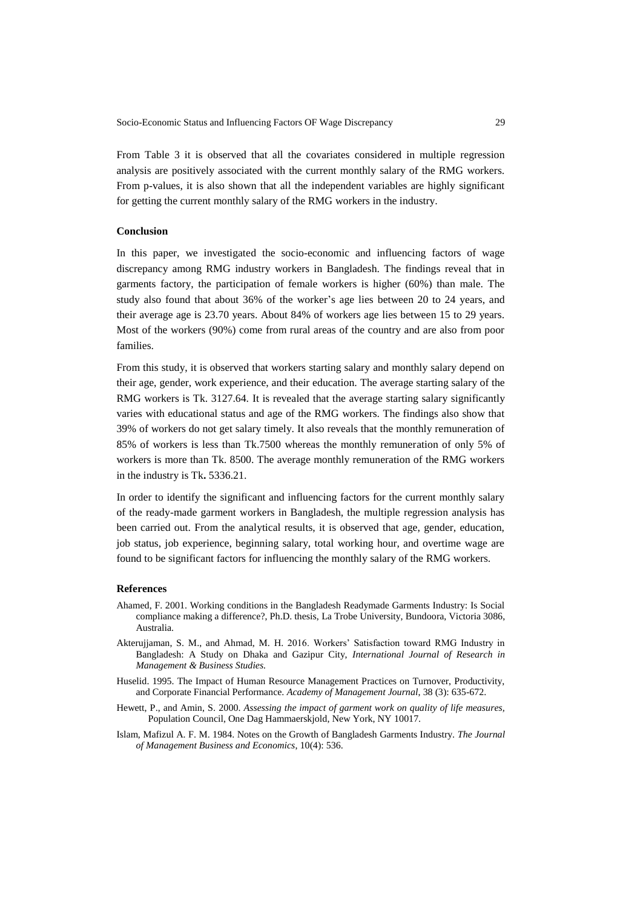From Table 3 it is observed that all the covariates considered in multiple regression analysis are positively associated with the current monthly salary of the RMG workers. From p-values, it is also shown that all the independent variables are highly significant for getting the current monthly salary of the RMG workers in the industry.

# **Conclusion**

In this paper, we investigated the socio-economic and influencing factors of wage discrepancy among RMG industry workers in Bangladesh. The findings reveal that in garments factory, the participation of female workers is higher (60%) than male. The study also found that about 36% of the worker's age lies between 20 to 24 years, and their average age is 23.70 years. About 84% of workers age lies between 15 to 29 years. Most of the workers (90%) come from rural areas of the country and are also from poor families.

From this study, it is observed that workers starting salary and monthly salary depend on their age, gender, work experience, and their education. The average starting salary of the RMG workers is Tk. 3127.64. It is revealed that the average starting salary significantly varies with educational status and age of the RMG workers. The findings also show that 39% of workers do not get salary timely. It also reveals that the monthly remuneration of 85% of workers is less than Tk.7500 whereas the monthly remuneration of only 5% of workers is more than Tk. 8500. The average monthly remuneration of the RMG workers in the industry is Tk**.** 5336.21.

In order to identify the significant and influencing factors for the current monthly salary of the ready-made garment workers in Bangladesh, the multiple regression analysis has been carried out. From the analytical results, it is observed that age, gender, education, job status, job experience, beginning salary, total working hour, and overtime wage are found to be significant factors for influencing the monthly salary of the RMG workers.

# **References**

- Ahamed, F. 2001. Working conditions in the Bangladesh Readymade Garments Industry: Is Social compliance making a difference?, Ph.D. thesis, La Trobe University, Bundoora, Victoria 3086, Australia.
- Akterujjaman, S. M., and Ahmad, M. H. 2016. Workers' Satisfaction toward RMG Industry in Bangladesh: A Study on Dhaka and Gazipur City, *International Journal of Research in Management & Business Studies.*
- Huselid. 1995. The Impact of Human Resource Management Practices on Turnover, Productivity, and Corporate Financial Performance. *Academy of Management Journal*, 38 (3): 635-672.
- Hewett, P., and Amin, S. 2000. *Assessing the impact of garment work on quality of life measures,* Population Council, One Dag Hammaerskjold, New York, NY 10017.
- Islam, Mafizul A. F. M. 1984. Notes on the Growth of Bangladesh Garments Industry. *The Journal of Management Business and Economics*, 10(4): 536.